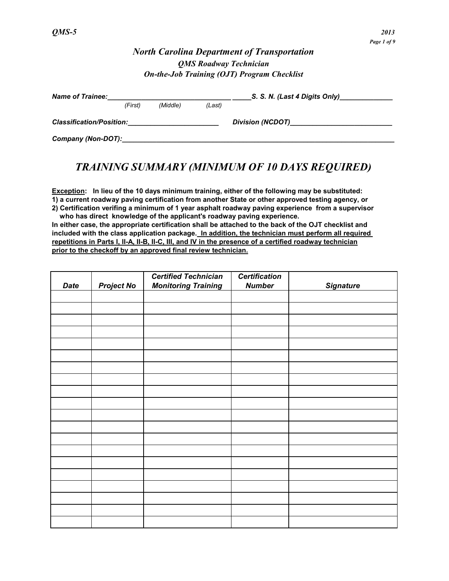### *North Carolina Department of Transportation QMS Roadway Technician On-the-Job Training (OJT) Program Checklist*

| <b>Name of Trainee:</b>         |         |          |                         | S. S. N. (Last 4 Digits Only) |
|---------------------------------|---------|----------|-------------------------|-------------------------------|
|                                 | (First) | (Middle) | (Last)                  |                               |
| <b>Classification/Position:</b> |         |          | <b>Division (NCDOT)</b> |                               |
| Company (Non-DOT):              |         |          |                         |                               |

# *TRAINING SUMMARY (MINIMUM OF 10 DAYS REQUIRED)*

**Exception: In lieu of the 10 days minimum training, either of the following may be substituted: 1) a current roadway paving certification from another State or other approved testing agency, or 2) Certification verifing a minimum of 1 year asphalt roadway paving experience from a supervisor** 

 **who has direct knowledge of the applicant's roadway paving experience. In either case, the appropriate certification shall be attached to the back of the OJT checklist and included with the class application package. In addition, the technician must perform all required repetitions in Parts I, II-A, II-B, II-C, III, and IV in the presence of a certified roadway technician prior to the checkoff by an approved final review technician.**

| <b>Date</b> | <b>Project No</b> | <b>Certified Technician</b><br><b>Monitoring Training</b> | <b>Certification</b><br><b>Number</b> | <b>Signature</b> |
|-------------|-------------------|-----------------------------------------------------------|---------------------------------------|------------------|
|             |                   |                                                           |                                       |                  |
|             |                   |                                                           |                                       |                  |
|             |                   |                                                           |                                       |                  |
|             |                   |                                                           |                                       |                  |
|             |                   |                                                           |                                       |                  |
|             |                   |                                                           |                                       |                  |
|             |                   |                                                           |                                       |                  |
|             |                   |                                                           |                                       |                  |
|             |                   |                                                           |                                       |                  |
|             |                   |                                                           |                                       |                  |
|             |                   |                                                           |                                       |                  |
|             |                   |                                                           |                                       |                  |
|             |                   |                                                           |                                       |                  |
|             |                   |                                                           |                                       |                  |
|             |                   |                                                           |                                       |                  |
|             |                   |                                                           |                                       |                  |
|             |                   |                                                           |                                       |                  |
|             |                   |                                                           |                                       |                  |
|             |                   |                                                           |                                       |                  |
|             |                   |                                                           |                                       |                  |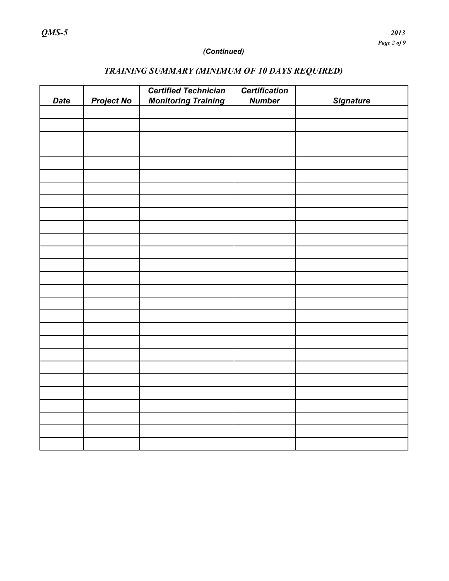### *(Continued)*

# *Certified Technician Certification Date Project No Monitoring Training Number Signature*

# *TRAINING SUMMARY (MINIMUM OF 10 DAYS REQUIRED)*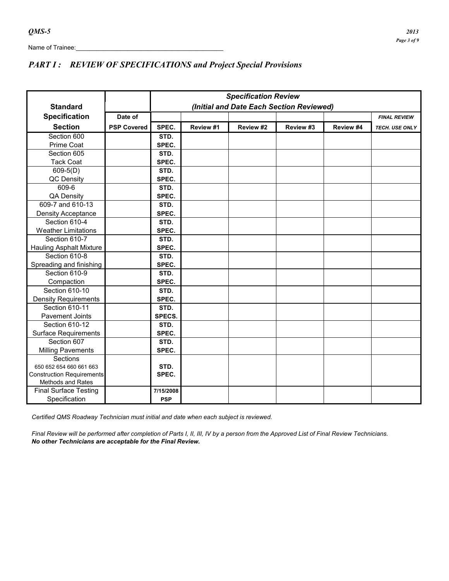### *PART I : REVIEW OF SPECIFICATIONS and Project Special Provisions*

|                                  |                    |                                          |           | <b>Specification Review</b> |           |           |                     |  |
|----------------------------------|--------------------|------------------------------------------|-----------|-----------------------------|-----------|-----------|---------------------|--|
| <b>Standard</b>                  |                    | (Initial and Date Each Section Reviewed) |           |                             |           |           |                     |  |
| <b>Specification</b>             | Date of            |                                          |           |                             |           |           | <b>FINAL REVIEW</b> |  |
|                                  |                    |                                          |           |                             |           |           |                     |  |
| <b>Section</b>                   | <b>PSP Covered</b> | SPEC.                                    | Review #1 | Review #2                   | Review #3 | Review #4 | TECH. USE ONLY      |  |
| Section 600                      |                    | STD.                                     |           |                             |           |           |                     |  |
| Prime Coat                       |                    | SPEC.                                    |           |                             |           |           |                     |  |
| Section 605                      |                    | STD.                                     |           |                             |           |           |                     |  |
| <b>Tack Coat</b>                 |                    | SPEC.                                    |           |                             |           |           |                     |  |
| $609-5(D)$                       |                    | STD.                                     |           |                             |           |           |                     |  |
| QC Density                       |                    | SPEC.                                    |           |                             |           |           |                     |  |
| $609 - 6$                        |                    | STD.                                     |           |                             |           |           |                     |  |
| <b>QA Density</b>                |                    | SPEC.                                    |           |                             |           |           |                     |  |
| 609-7 and 610-13                 |                    | STD.                                     |           |                             |           |           |                     |  |
| Density Acceptance               |                    | SPEC.                                    |           |                             |           |           |                     |  |
| Section 610-4                    |                    | STD.                                     |           |                             |           |           |                     |  |
| <b>Weather Limitations</b>       |                    | SPEC.                                    |           |                             |           |           |                     |  |
| Section 610-7                    |                    | STD.                                     |           |                             |           |           |                     |  |
| <b>Hauling Asphalt Mixture</b>   |                    | SPEC.                                    |           |                             |           |           |                     |  |
| Section 610-8                    |                    | STD.                                     |           |                             |           |           |                     |  |
| Spreading and finishing          |                    | SPEC.                                    |           |                             |           |           |                     |  |
| Section 610-9                    |                    | STD.                                     |           |                             |           |           |                     |  |
| Compaction                       |                    | SPEC.                                    |           |                             |           |           |                     |  |
| Section 610-10                   |                    | STD.                                     |           |                             |           |           |                     |  |
| <b>Density Requirements</b>      |                    | SPEC.                                    |           |                             |           |           |                     |  |
| Section 610-11                   |                    | STD.                                     |           |                             |           |           |                     |  |
| <b>Pavement Joints</b>           |                    | SPECS.                                   |           |                             |           |           |                     |  |
| Section 610-12                   |                    | STD.                                     |           |                             |           |           |                     |  |
| <b>Surface Requirements</b>      |                    | SPEC.                                    |           |                             |           |           |                     |  |
| Section 607                      |                    | STD.                                     |           |                             |           |           |                     |  |
| <b>Milling Pavements</b>         |                    | SPEC.                                    |           |                             |           |           |                     |  |
| Sections                         |                    |                                          |           |                             |           |           |                     |  |
| 650 652 654 660 661 663          |                    | STD.                                     |           |                             |           |           |                     |  |
| <b>Construction Requirements</b> |                    | SPEC.                                    |           |                             |           |           |                     |  |
| <b>Methods and Rates</b>         |                    |                                          |           |                             |           |           |                     |  |
| <b>Final Surface Testing</b>     |                    | 7/15/2008                                |           |                             |           |           |                     |  |
| Specification                    |                    | <b>PSP</b>                               |           |                             |           |           |                     |  |

*Certified QMS Roadway Technician must initial and date when each subject is reviewed.*

 *Final Review will be performed after completion of Parts I, II, III, IV by a person from the Approved List of Final Review Technicians. No other Technicians are acceptable for the Final Review.*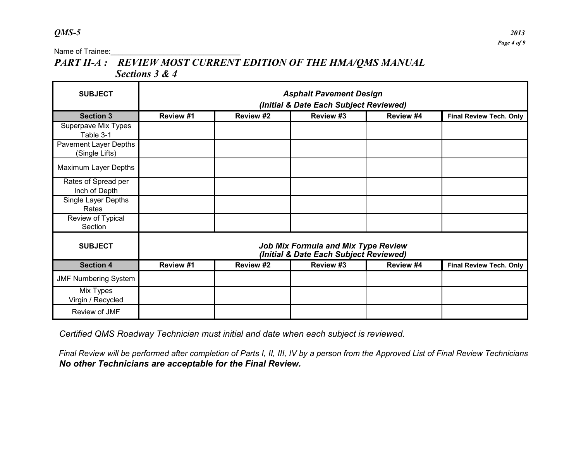Name of Trainee:<br>

# *PART II-A : REVIEW MOST CURRENT EDITION OF THE HMA/QMS MANUAL Sections 3 & 4*

| <b>SUBJECT</b>                          | <b>Asphalt Pavement Design</b><br>(Initial & Date Each Subject Reviewed)           |           |                                                                                      |           |                                |  |  |  |
|-----------------------------------------|------------------------------------------------------------------------------------|-----------|--------------------------------------------------------------------------------------|-----------|--------------------------------|--|--|--|
| <b>Section 3</b>                        | Review #1<br>Review #2<br>Review #3<br>Review #4<br><b>Final Review Tech. Only</b> |           |                                                                                      |           |                                |  |  |  |
| Superpave Mix Types<br>Table 3-1        |                                                                                    |           |                                                                                      |           |                                |  |  |  |
| Pavement Layer Depths<br>(Single Lifts) |                                                                                    |           |                                                                                      |           |                                |  |  |  |
| Maximum Layer Depths                    |                                                                                    |           |                                                                                      |           |                                |  |  |  |
| Rates of Spread per<br>Inch of Depth    |                                                                                    |           |                                                                                      |           |                                |  |  |  |
| Single Layer Depths<br>Rates            |                                                                                    |           |                                                                                      |           |                                |  |  |  |
| Review of Typical<br>Section            |                                                                                    |           |                                                                                      |           |                                |  |  |  |
| <b>SUBJECT</b>                          |                                                                                    |           | <b>Job Mix Formula and Mix Type Review</b><br>(Initial & Date Each Subject Reviewed) |           |                                |  |  |  |
| <b>Section 4</b>                        | Review #1                                                                          | Review #2 | Review #3                                                                            | Review #4 | <b>Final Review Tech. Only</b> |  |  |  |
| <b>JMF Numbering System</b>             |                                                                                    |           |                                                                                      |           |                                |  |  |  |
| Mix Types<br>Virgin / Recycled          |                                                                                    |           |                                                                                      |           |                                |  |  |  |
| Review of JMF                           |                                                                                    |           |                                                                                      |           |                                |  |  |  |

 *Certified QMS Roadway Technician must initial and date when each subject is reviewed.*

 *Final Review will be performed after completion of Parts I, II, III, IV by a person from the Approved List of Final Review Technicians No other Technicians are acceptable for the Final Review.*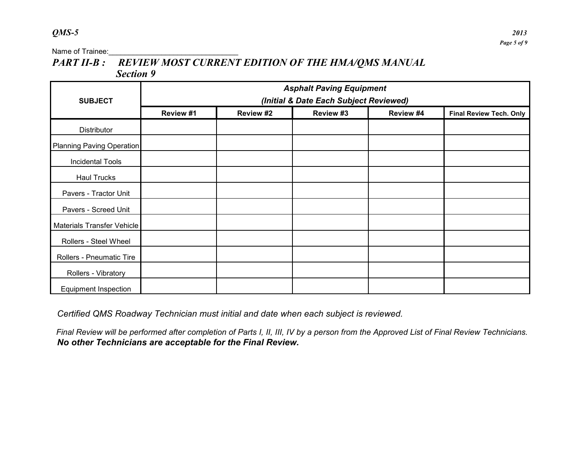# PART II-B : REVIEW MOST CURRENT EDITION OF THE HMA/QMS MANUAL  *Section 9*

|                                  | <b>Asphalt Paving Equipment</b>        |           |           |           |                                |  |  |  |  |
|----------------------------------|----------------------------------------|-----------|-----------|-----------|--------------------------------|--|--|--|--|
| <b>SUBJECT</b>                   | (Initial & Date Each Subject Reviewed) |           |           |           |                                |  |  |  |  |
|                                  | Review #1                              | Review #2 | Review #3 | Review #4 | <b>Final Review Tech. Only</b> |  |  |  |  |
| Distributor                      |                                        |           |           |           |                                |  |  |  |  |
| <b>Planning Paving Operation</b> |                                        |           |           |           |                                |  |  |  |  |
| <b>Incidental Tools</b>          |                                        |           |           |           |                                |  |  |  |  |
| <b>Haul Trucks</b>               |                                        |           |           |           |                                |  |  |  |  |
| Pavers - Tractor Unit            |                                        |           |           |           |                                |  |  |  |  |
| Pavers - Screed Unit             |                                        |           |           |           |                                |  |  |  |  |
| Materials Transfer Vehicle       |                                        |           |           |           |                                |  |  |  |  |
| Rollers - Steel Wheel            |                                        |           |           |           |                                |  |  |  |  |
| Rollers - Pneumatic Tire         |                                        |           |           |           |                                |  |  |  |  |
| Rollers - Vibratory              |                                        |           |           |           |                                |  |  |  |  |
| <b>Equipment Inspection</b>      |                                        |           |           |           |                                |  |  |  |  |

 *Certified QMS Roadway Technician must initial and date when each subject is reviewed.*

*Final Review will be performed after completion of Parts I, II, III, IV by a person from the Approved List of Final Review Technicians. No other Technicians are acceptable for the Final Review.*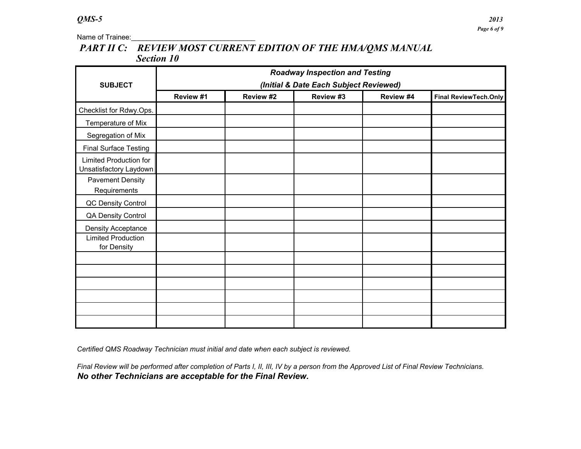# *PART II C: REVIEW MOST CURRENT EDITION OF THE HMA/QMS MANUAL Section 10*

| <b>SUBJECT</b>                                                 | <b>Roadway Inspection and Testing</b><br>(Initial & Date Each Subject Reviewed) |           |           |           |                              |  |  |  |  |
|----------------------------------------------------------------|---------------------------------------------------------------------------------|-----------|-----------|-----------|------------------------------|--|--|--|--|
|                                                                | Review #1                                                                       | Review #2 | Review #3 | Review #4 | <b>Final ReviewTech.Only</b> |  |  |  |  |
| Checklist for Rdwy.Ops.                                        |                                                                                 |           |           |           |                              |  |  |  |  |
| Temperature of Mix                                             |                                                                                 |           |           |           |                              |  |  |  |  |
| Segregation of Mix                                             |                                                                                 |           |           |           |                              |  |  |  |  |
| <b>Final Surface Testing</b>                                   |                                                                                 |           |           |           |                              |  |  |  |  |
| <b>Limited Production for</b><br>Unsatisfactory Laydown        |                                                                                 |           |           |           |                              |  |  |  |  |
| <b>Pavement Density</b><br>Requirements                        |                                                                                 |           |           |           |                              |  |  |  |  |
| QC Density Control                                             |                                                                                 |           |           |           |                              |  |  |  |  |
| <b>QA Density Control</b>                                      |                                                                                 |           |           |           |                              |  |  |  |  |
| Density Acceptance<br><b>Limited Production</b><br>for Density |                                                                                 |           |           |           |                              |  |  |  |  |
|                                                                |                                                                                 |           |           |           |                              |  |  |  |  |
|                                                                |                                                                                 |           |           |           |                              |  |  |  |  |
|                                                                |                                                                                 |           |           |           |                              |  |  |  |  |
|                                                                |                                                                                 |           |           |           |                              |  |  |  |  |
|                                                                |                                                                                 |           |           |           |                              |  |  |  |  |
|                                                                |                                                                                 |           |           |           |                              |  |  |  |  |

*Certified QMS Roadway Technician must initial and date when each subject is reviewed.*

*Final Review will be performed after completion of Parts I, II, III, IV by a person from the Approved List of Final Review Technicians. No other Technicians are acceptable for the Final Review.*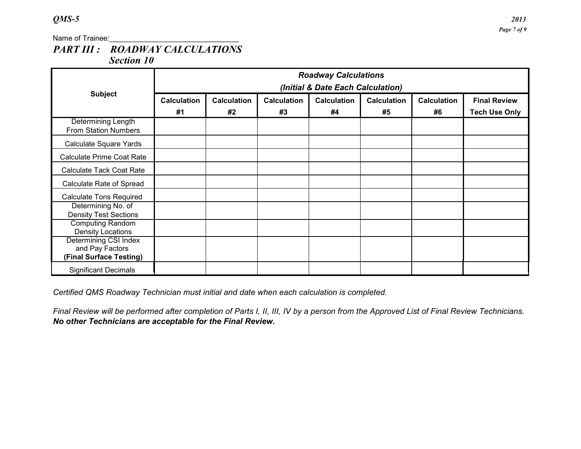### *QMS-5 2013*

Name of Trainee:

## *PART III : ROADWAY CALCULATIONS Section 10*

|                                                                            | <b>Roadway Calculations</b><br>(Initial & Date Each Calculation) |                    |                    |                    |                    |                    |                      |
|----------------------------------------------------------------------------|------------------------------------------------------------------|--------------------|--------------------|--------------------|--------------------|--------------------|----------------------|
| <b>Subject</b>                                                             | <b>Calculation</b>                                               | <b>Calculation</b> | <b>Calculation</b> | <b>Calculation</b> | <b>Calculation</b> | <b>Calculation</b> | <b>Final Review</b>  |
|                                                                            | #1                                                               | #2                 | #3                 | #4                 | #5                 | #6                 | <b>Tech Use Only</b> |
| Determining Length<br><b>From Station Numbers</b>                          |                                                                  |                    |                    |                    |                    |                    |                      |
| Calculate Square Yards                                                     |                                                                  |                    |                    |                    |                    |                    |                      |
| <b>Calculate Prime Coat Rate</b>                                           |                                                                  |                    |                    |                    |                    |                    |                      |
| <b>Calculate Tack Coat Rate</b>                                            |                                                                  |                    |                    |                    |                    |                    |                      |
| Calculate Rate of Spread                                                   |                                                                  |                    |                    |                    |                    |                    |                      |
| <b>Calculate Tons Required</b>                                             |                                                                  |                    |                    |                    |                    |                    |                      |
| Determining No. of<br><b>Density Test Sections</b>                         |                                                                  |                    |                    |                    |                    |                    |                      |
| <b>Computing Random</b><br>Density Locations                               |                                                                  |                    |                    |                    |                    |                    |                      |
| <b>Determining CSI Index</b><br>and Pay Factors<br>(Final Surface Testing) |                                                                  |                    |                    |                    |                    |                    |                      |
| <b>Significant Decimals</b>                                                |                                                                  |                    |                    |                    |                    |                    |                      |

*Certified QMS Roadway Technician must initial and date when each calculation is completed.*

*Final Review will be performed after completion of Parts I, II, III, IV by a person from the Approved List of Final Review Technicians. No other Technicians are acceptable for the Final Review.*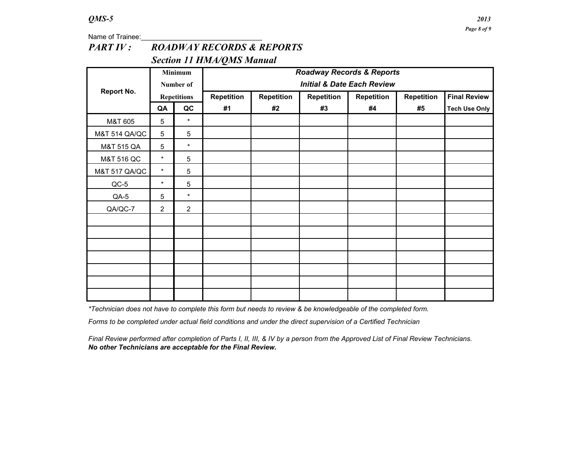# *PART IV : ROADWAY RECORDS & REPORTS Section 11 HMA/QMS Manual*

|                          |                | Minimum            | <b>Roadway Records &amp; Reports</b>  |                   |                   |            |                   |                      |
|--------------------------|----------------|--------------------|---------------------------------------|-------------------|-------------------|------------|-------------------|----------------------|
|                          |                | Number of          | <b>Initial &amp; Date Each Review</b> |                   |                   |            |                   |                      |
| <b>Report No.</b>        |                | <b>Repetitions</b> | <b>Repetition</b>                     | <b>Repetition</b> | <b>Repetition</b> | Repetition | <b>Repetition</b> | <b>Final Review</b>  |
|                          | QA             | QC                 | #1                                    | #2                | #3                | #4         | #5                | <b>Tech Use Only</b> |
| M&T 605                  | 5              | $\star$            |                                       |                   |                   |            |                   |                      |
| <b>M&amp;T 514 QA/QC</b> | 5              | $\sqrt{5}$         |                                       |                   |                   |            |                   |                      |
| M&T 515 QA               | 5              | $\star$            |                                       |                   |                   |            |                   |                      |
| M&T 516 QC               | $\star$        | $\overline{5}$     |                                       |                   |                   |            |                   |                      |
| <b>M&amp;T 517 QA/QC</b> | $\star$        | $\sqrt{5}$         |                                       |                   |                   |            |                   |                      |
| $QC-5$                   | $\star$        | $\sqrt{5}$         |                                       |                   |                   |            |                   |                      |
| QA-5                     | 5              | $\star$            |                                       |                   |                   |            |                   |                      |
| QA/QC-7                  | $\overline{2}$ | 2                  |                                       |                   |                   |            |                   |                      |
|                          |                |                    |                                       |                   |                   |            |                   |                      |
|                          |                |                    |                                       |                   |                   |            |                   |                      |
|                          |                |                    |                                       |                   |                   |            |                   |                      |
|                          |                |                    |                                       |                   |                   |            |                   |                      |
|                          |                |                    |                                       |                   |                   |            |                   |                      |
|                          |                |                    |                                       |                   |                   |            |                   |                      |
|                          |                |                    |                                       |                   |                   |            |                   |                      |

*\*Technician does not have to complete this form but needs to review & be knowledgeable of the completed form.*

*Forms to be completed under actual field conditions and under the direct supervision of a Certified Technician*

*Final Review performed after completion of Parts I, II, III, & IV by a person from the Approved List of Final Review Technicians. No other Technicians are acceptable for the Final Review.*